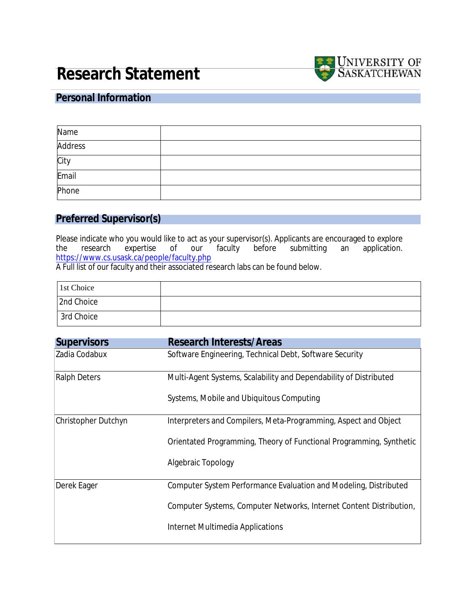# **Research Statement**



### **Personal Information**

| Name           |  |
|----------------|--|
| <b>Address</b> |  |
| City           |  |
| Email          |  |
| Phone          |  |

### **Preferred Supervisor(s)**

Please indicate who you would like to act as your supervisor(s). Applicants are encouraged to explore<br>the research expertise of our faculty before submitting an application. an application. https://www.cs.usask.ca/people/faculty.php

A Full list of our faculty and their associated research labs can be found below.

| 1st Choice |  |
|------------|--|
| 2nd Choice |  |
| 3rd Choice |  |

| <b>Supervisors</b>         | <b>Research Interests/Areas</b>                                            |  |
|----------------------------|----------------------------------------------------------------------------|--|
| Zadia Codabux              | Software Engineering, Technical Debt, Software Security                    |  |
| <b>Ralph Deters</b>        | Multi-Agent Systems, Scalability and Dependability of Distributed          |  |
|                            | <b>Systems, Mobile and Ubiquitous Computing</b>                            |  |
| <b>Christopher Dutchyn</b> | Interpreters and Compilers, Meta-Programming, Aspect and Object            |  |
|                            | Orientated Programming, Theory of Functional Programming, Synthetic        |  |
|                            | <b>Algebraic Topology</b>                                                  |  |
| <b>Derek Eager</b>         | <b>Computer System Performance Evaluation and Modeling, Distributed</b>    |  |
|                            | <b>Computer Systems, Computer Networks, Internet Content Distribution,</b> |  |
|                            | <b>Internet Multimedia Applications</b>                                    |  |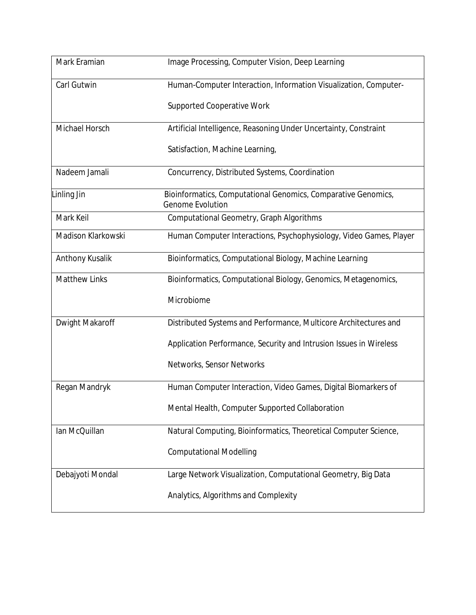| <b>Mark Eramian</b>       | <b>Image Processing, Computer Vision, Deep Learning</b>                                         |  |
|---------------------------|-------------------------------------------------------------------------------------------------|--|
| <b>Carl Gutwin</b>        | Human-Computer Interaction, Information Visualization, Computer-                                |  |
|                           | <b>Supported Cooperative Work</b>                                                               |  |
| <b>Michael Horsch</b>     | Artificial Intelligence, Reasoning Under Uncertainty, Constraint                                |  |
|                           | <b>Satisfaction, Machine Learning,</b>                                                          |  |
| Nadeem Jamali             | <b>Concurrency, Distributed Systems, Coordination</b>                                           |  |
| <b>Linling Jin</b>        | <b>Bioinformatics, Computational Genomics, Comparative Genomics,</b><br><b>Genome Evolution</b> |  |
| <b>Mark Keil</b>          | <b>Computational Geometry, Graph Algorithms</b>                                                 |  |
| <b>Madison Klarkowski</b> | Human Computer Interactions, Psychophysiology, Video Games, Player                              |  |
| <b>Anthony Kusalik</b>    | <b>Bioinformatics, Computational Biology, Machine Learning</b>                                  |  |
| <b>Matthew Links</b>      | Bioinformatics, Computational Biology, Genomics, Metagenomics,                                  |  |
|                           | <b>Microbiome</b>                                                                               |  |
| <b>Dwight Makaroff</b>    | Distributed Systems and Performance, Multicore Architectures and                                |  |
|                           | <b>Application Performance, Security and Intrusion Issues in Wireless</b>                       |  |
|                           | <b>Networks, Sensor Networks</b>                                                                |  |
| <b>Regan Mandryk</b>      | Human Computer Interaction, Video Games, Digital Biomarkers of                                  |  |
|                           | <b>Mental Health, Computer Supported Collaboration</b>                                          |  |
| Ian McQuillan             | Natural Computing, Bioinformatics, Theoretical Computer Science,                                |  |
|                           | <b>Computational Modelling</b>                                                                  |  |
| Debajyoti Mondal          | Large Network Visualization, Computational Geometry, Big Data                                   |  |
|                           | <b>Analytics, Algorithms and Complexity</b>                                                     |  |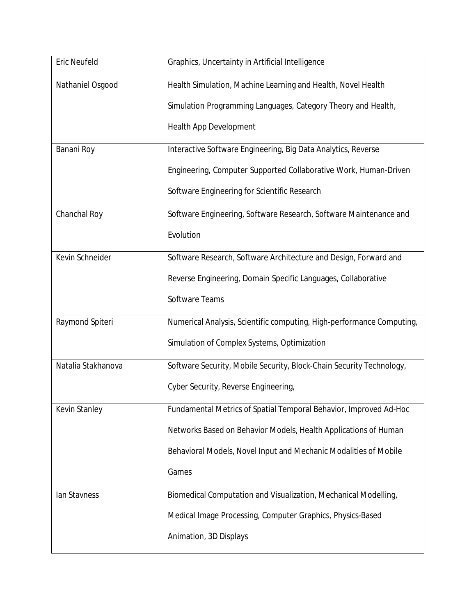| <b>Eric Neufeld</b>     | <b>Graphics, Uncertainty in Artificial Intelligence</b>                 |  |  |
|-------------------------|-------------------------------------------------------------------------|--|--|
| <b>Nathaniel Osgood</b> | Health Simulation, Machine Learning and Health, Novel Health            |  |  |
|                         | Simulation Programming Languages, Category Theory and Health,           |  |  |
|                         | <b>Health App Development</b>                                           |  |  |
| <b>Banani Roy</b>       | Interactive Software Engineering, Big Data Analytics, Reverse           |  |  |
|                         | <b>Engineering, Computer Supported Collaborative Work, Human-Driven</b> |  |  |
|                         | <b>Software Engineering for Scientific Research</b>                     |  |  |
| <b>Chanchal Roy</b>     | Software Engineering, Software Research, Software Maintenance and       |  |  |
|                         | <b>Evolution</b>                                                        |  |  |
| <b>Kevin Schneider</b>  | Software Research, Software Architecture and Design, Forward and        |  |  |
|                         | Reverse Engineering, Domain Specific Languages, Collaborative           |  |  |
|                         | <b>Software Teams</b>                                                   |  |  |
| <b>Raymond Spiteri</b>  | Numerical Analysis, Scientific computing, High-performance Computing,   |  |  |
|                         | <b>Simulation of Complex Systems, Optimization</b>                      |  |  |
| Natalia Stakhanova      | Software Security, Mobile Security, Block-Chain Security Technology,    |  |  |
|                         | <b>Cyber Security, Reverse Engineering,</b>                             |  |  |
| <b>Kevin Stanley</b>    | Fundamental Metrics of Spatial Temporal Behavior, Improved Ad-Hoc       |  |  |
|                         | Networks Based on Behavior Models, Health Applications of Human         |  |  |
|                         | Behavioral Models, Novel Input and Mechanic Modalities of Mobile        |  |  |
|                         | <b>Games</b>                                                            |  |  |
| <b>Ian Stavness</b>     | Biomedical Computation and Visualization, Mechanical Modelling,         |  |  |
|                         | Medical Image Processing, Computer Graphics, Physics-Based              |  |  |
|                         | <b>Animation, 3D Displays</b>                                           |  |  |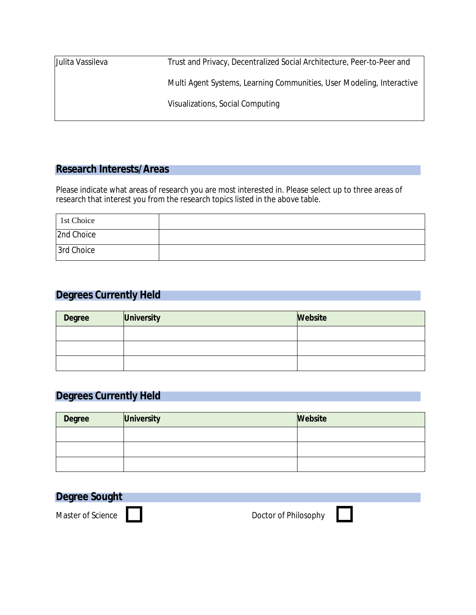| Trust and Privacy, Decentralized Social Architecture, Peer-to-Peer and |  |
|------------------------------------------------------------------------|--|
| Multi Agent Systems, Learning Communities, User Modeling, Interactive  |  |
| <b>Visualizations, Social Computing</b>                                |  |
|                                                                        |  |

### **Research Interests/Areas**

Please indicate what areas of research you are most interested in. Please select up to three areas of research that interest you from the research topics listed in the above table.

| 1st Choice |  |
|------------|--|
| 2nd Choice |  |
| 3rd Choice |  |

### **Degrees Currently Held**

| <b>Degree</b> | <b>University</b> | <b>Website</b> |
|---------------|-------------------|----------------|
|               |                   |                |
|               |                   |                |
|               |                   |                |

### **Degrees Currently Held**

| <b>Degree</b> | <b>University</b> | <b>Website</b> |
|---------------|-------------------|----------------|
|               |                   |                |
|               |                   |                |
|               |                   |                |

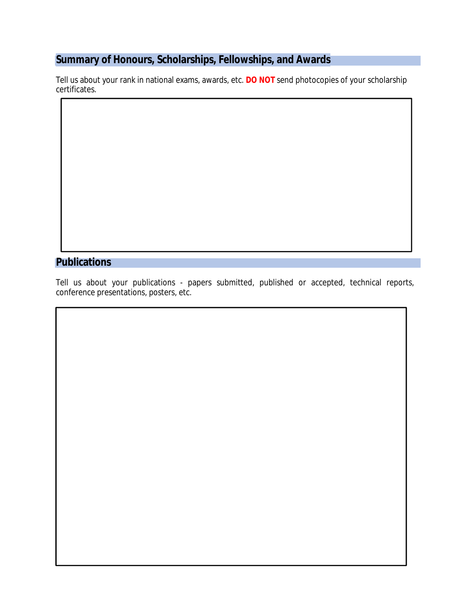## **Summary of Honours, Scholarships, Fellowships, and Awards**

Tell us about your rank in national exams, awards, etc. **DO NOT** send photocopies of your scholarship certificates.

### **Publications**

Tell us about your publications - papers submitted, published or accepted, technical reports, conference presentations, posters, etc.